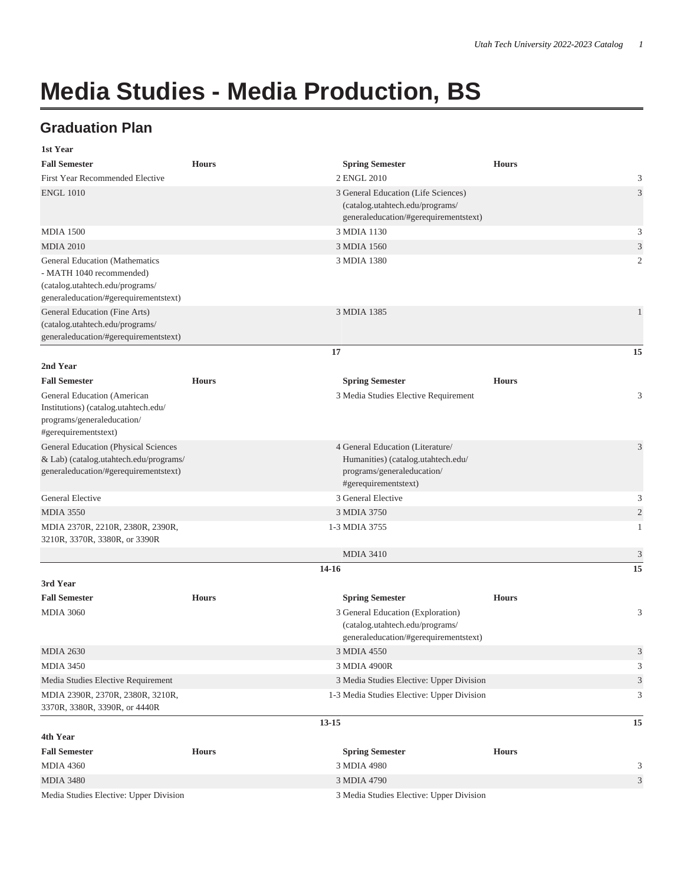## **Media Studies - Media Production, BS**

## **Graduation Plan**

| 1st Year                                                                                                                                      |              |                                                                                                                              |              |                |
|-----------------------------------------------------------------------------------------------------------------------------------------------|--------------|------------------------------------------------------------------------------------------------------------------------------|--------------|----------------|
| <b>Fall Semester</b>                                                                                                                          | <b>Hours</b> | <b>Spring Semester</b>                                                                                                       | <b>Hours</b> |                |
| First Year Recommended Elective                                                                                                               |              | 2 ENGL 2010                                                                                                                  |              | 3              |
| <b>ENGL 1010</b>                                                                                                                              |              | 3 General Education (Life Sciences)<br>(catalog.utahtech.edu/programs/<br>generaleducation/#gerequirementstext)              |              | 3              |
| <b>MDIA 1500</b>                                                                                                                              |              | 3 MDIA 1130                                                                                                                  |              | 3              |
| <b>MDIA 2010</b>                                                                                                                              |              | 3 MDIA 1560                                                                                                                  |              | 3              |
| <b>General Education (Mathematics</b><br>- MATH 1040 recommended)<br>(catalog.utahtech.edu/programs/<br>generaleducation/#gerequirementstext) |              | 3 MDIA 1380                                                                                                                  |              | 2              |
| General Education (Fine Arts)<br>(catalog.utahtech.edu/programs/<br>generaleducation/#gerequirementstext)                                     |              | 3 MDIA 1385                                                                                                                  |              | $\mathbf{1}$   |
|                                                                                                                                               |              | 17                                                                                                                           |              | 15             |
| 2nd Year                                                                                                                                      |              |                                                                                                                              |              |                |
| <b>Fall Semester</b>                                                                                                                          | <b>Hours</b> | <b>Spring Semester</b>                                                                                                       | <b>Hours</b> |                |
| General Education (American<br>Institutions) (catalog.utahtech.edu/<br>programs/generaleducation/<br>#gerequirementstext)                     |              | 3 Media Studies Elective Requirement                                                                                         |              | 3              |
| General Education (Physical Sciences<br>& Lab) (catalog.utahtech.edu/programs/<br>generaleducation/#gerequirementstext)                       |              | 4 General Education (Literature/<br>Humanities) (catalog.utahtech.edu/<br>programs/generaleducation/<br>#gerequirementstext) |              | 3              |
| <b>General Elective</b>                                                                                                                       |              | 3 General Elective                                                                                                           |              | 3              |
| <b>MDIA 3550</b>                                                                                                                              |              | 3 MDIA 3750                                                                                                                  |              | $\overline{2}$ |
| MDIA 2370R, 2210R, 2380R, 2390R,<br>3210R, 3370R, 3380R, or 3390R                                                                             |              | 1-3 MDIA 3755                                                                                                                |              | 1              |
|                                                                                                                                               |              | <b>MDIA 3410</b>                                                                                                             |              | $\mathfrak{Z}$ |
|                                                                                                                                               |              | 14-16                                                                                                                        |              | 15             |
| 3rd Year                                                                                                                                      |              |                                                                                                                              |              |                |
| <b>Fall Semester</b>                                                                                                                          | <b>Hours</b> | <b>Spring Semester</b>                                                                                                       | <b>Hours</b> |                |
| <b>MDIA 3060</b>                                                                                                                              |              | 3 General Education (Exploration)<br>(catalog.utahtech.edu/programs/<br>generaleducation/#gerequirementstext)                |              | 3              |
| <b>MDIA 2630</b>                                                                                                                              |              | 3 MDIA 4550                                                                                                                  |              | 3              |
| <b>MDIA 3450</b>                                                                                                                              |              | 3 MDIA 4900R                                                                                                                 |              | 3              |
| Media Studies Elective Requirement                                                                                                            |              | 3 Media Studies Elective: Upper Division                                                                                     |              | 3              |
| MDIA 2390R, 2370R, 2380R, 3210R,<br>3370R, 3380R, 3390R, or 4440R                                                                             |              | 1-3 Media Studies Elective: Upper Division                                                                                   |              | 3              |
|                                                                                                                                               |              | $13 - 15$                                                                                                                    |              | 15             |
| 4th Year                                                                                                                                      |              |                                                                                                                              |              |                |
| <b>Fall Semester</b>                                                                                                                          | <b>Hours</b> | <b>Spring Semester</b>                                                                                                       | <b>Hours</b> |                |
| <b>MDIA 4360</b>                                                                                                                              |              | 3 MDIA 4980                                                                                                                  |              | 3              |
| <b>MDIA 3480</b>                                                                                                                              |              | 3 MDIA 4790                                                                                                                  |              | 3              |
| Media Studies Elective: Upper Division                                                                                                        |              | 3 Media Studies Elective: Upper Division                                                                                     |              |                |